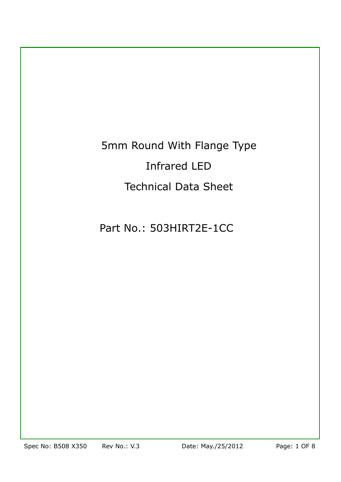5mm Round With Flange Type Infrared LED Technical Data Sheet

Part No.: 503HIRT2E-1CC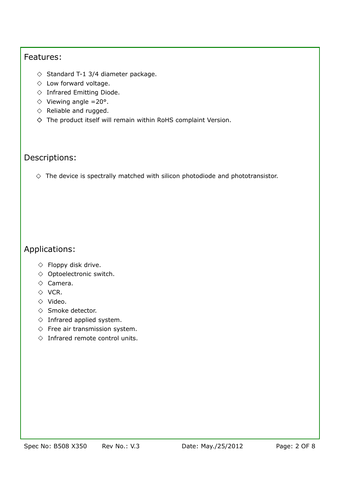#### Features:

- $\Diamond$  Standard T-1 3/4 diameter package.
- $\Diamond$  Low forward voltage.
- $\Diamond$  Infrared Emitting Diode.
- $\Diamond$  Viewing angle =20°.
- $\diamond$  Reliable and rugged.
- $\diamond$  The product itself will remain within RoHS complaint Version.

### Descriptions:

 $\Diamond$  The device is spectrally matched with silicon photodiode and phototransistor.

## Applications:

- $\Diamond$  Floppy disk drive.
- $\diamond$  Optoelectronic switch.
- $\diamond$  Camera.
- $\Diamond$  VCR.
- $\Diamond$  Video.
- $\Diamond$  Smoke detector.
- $\Diamond$  Infrared applied system.
- $\diamond$  Free air transmission system.
- $\diamond$  Infrared remote control units.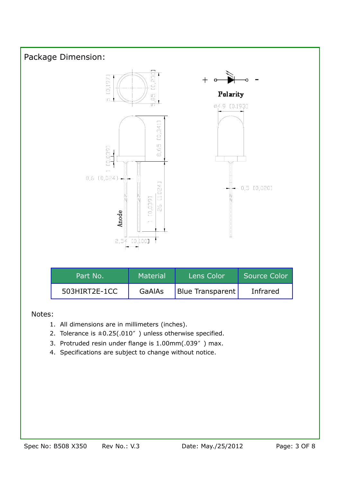

#### Notes:

- 1. All dimensions are in millimeters (inches).
- 2. Tolerance is  $\pm 0.25(.010'')$  unless otherwise specified.
- 3. Protruded resin under flange is 1.00mm(.039") max.
- 4. Specifications are subject to change without notice.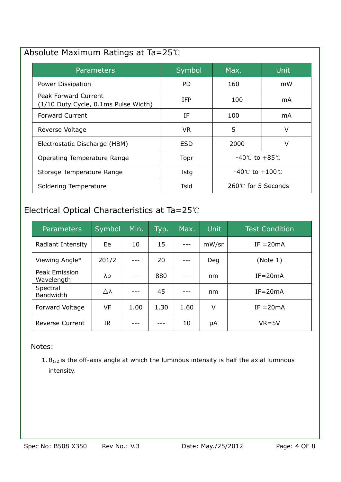## Absolute Maximum Ratings at Ta=25

| Parameters                                                   | Symbol | Max.                               | <b>Unit</b> |
|--------------------------------------------------------------|--------|------------------------------------|-------------|
| Power Dissipation                                            | PD.    | 160                                | mW          |
| Peak Forward Current<br>(1/10 Duty Cycle, 0.1ms Pulse Width) | IFP.   | 100                                | mA.         |
| <b>Forward Current</b>                                       | ΙF     | 100                                | mA          |
| Reverse Voltage                                              | VR.    | 5                                  | V           |
| Electrostatic Discharge (HBM)                                | ESD    | 2000                               | V           |
| Operating Temperature Range                                  | Topr   | $-40^{\circ}$ C to $+85^{\circ}$ C |             |
| Storage Temperature Range                                    | Tstg   | -40℃ to +100℃                      |             |
| Soldering Temperature                                        | Tsld   | $260^{\circ}$ for 5 Seconds        |             |

# Electrical Optical Characteristics at Ta=25°C

| <b>Parameters</b>            | Symbol        | Min. | Typ. | Max. | Unit  | <b>Test Condition</b> |
|------------------------------|---------------|------|------|------|-------|-----------------------|
| Radiant Intensity            | Ee            | 10   | 15   |      | mW/sr | $IF = 20mA$           |
| Viewing Angle*               | $2\theta$ 1/2 |      | 20   |      | Deg   | (Note 1)              |
| Peak Emission<br>Wavelength  | λp            |      | 880  |      | nm    | $IF = 20mA$           |
| Spectral<br><b>Bandwidth</b> | Δλ            |      | 45   |      | nm    | $IF = 20mA$           |
| Forward Voltage              | VF            | 1.00 | 1.30 | 1.60 | V     | $IF = 20mA$           |
| <b>Reverse Current</b>       | IR.           |      |      | 10   | μA    | $VR = 5V$             |

#### Notes:

1.  $\theta_{1/2}$  is the off-axis angle at which the luminous intensity is half the axial luminous intensity.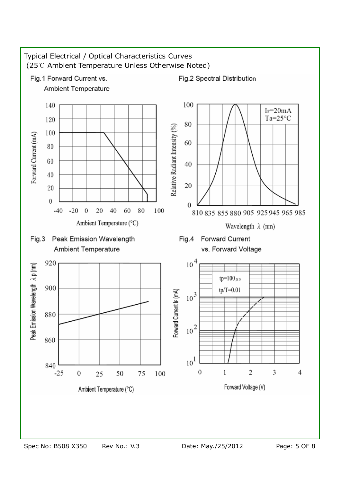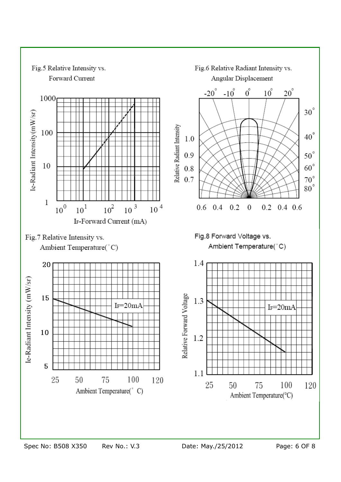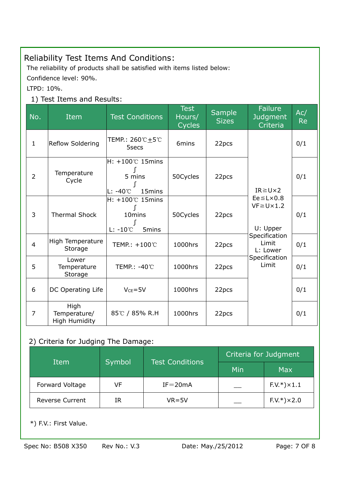# Reliability Test Items And Conditions:

The reliability of products shall be satisfied with items listed below:

Confidence level: 90%.

LTPD: 10%.

## 1) Test Items and Results:

| No.            | Item                                         | <b>Test Conditions</b>                                                      | <b>Test</b><br>Hours/<br>Cycles | <b>Sample</b><br><b>Sizes</b> | Failure<br>Judgment<br>Criteria                                                                                                                      | Ac/<br><b>Re</b> |
|----------------|----------------------------------------------|-----------------------------------------------------------------------------|---------------------------------|-------------------------------|------------------------------------------------------------------------------------------------------------------------------------------------------|------------------|
| $\mathbf{1}$   | <b>Reflow Soldering</b>                      | TEMP.: 260℃±5℃<br>5secs                                                     | 6mins                           | 22pcs                         |                                                                                                                                                      | 0/1              |
| $\overline{2}$ | Temperature<br>Cycle                         | $H: +100^{\circ}$ 15mins<br>5 mins<br>$L: -40^{\circ}$<br>15mins            | 50Cycles                        | 22pcs                         | $IR \geq U \times 2$<br>$Ee \leq L \times 0.8$<br>$VF \geq U \times 1.2$<br>U: Upper<br>Specification<br>Limit<br>L: Lower<br>Specification<br>Limit | 0/1              |
| 3              | <b>Thermal Shock</b>                         | $H: +100^{\circ}$ 15mins<br>10 <sub>mins</sub><br>$L: -10^{\circ}$<br>5mins | 50Cycles                        | 22pcs                         |                                                                                                                                                      | 0/1              |
| $\overline{4}$ | High Temperature<br>Storage                  | TEMP.: +100℃                                                                | 1000hrs                         | 22pcs                         |                                                                                                                                                      | 0/1              |
| 5              | Lower<br>Temperature<br>Storage              | TEMP.: -40℃                                                                 | 1000hrs                         | 22pcs                         |                                                                                                                                                      | 0/1              |
| 6              | DC Operating Life                            | $V_{CE} = 5V$                                                               | 1000hrs                         | 22pcs                         |                                                                                                                                                      | 0/1              |
| 7              | High<br>Temperature/<br><b>High Humidity</b> | 85℃ / 85% R.H                                                               | 1000hrs                         | 22pcs                         |                                                                                                                                                      | 0/1              |

#### 2) Criteria for Judging The Damage:

|                        | <b>Test Conditions</b><br>Symbol<br>Item |             | Criteria for Judgment |                 |  |
|------------------------|------------------------------------------|-------------|-----------------------|-----------------|--|
|                        |                                          |             | Min                   | <b>Max</b>      |  |
| Forward Voltage        | VF                                       | $IF = 20mA$ |                       | $F.V.*$ ) × 1.1 |  |
| <b>Reverse Current</b> | IR                                       | $VR = 5V$   |                       | $F.V.*$ ) × 2.0 |  |

\*) F.V.: First Value.